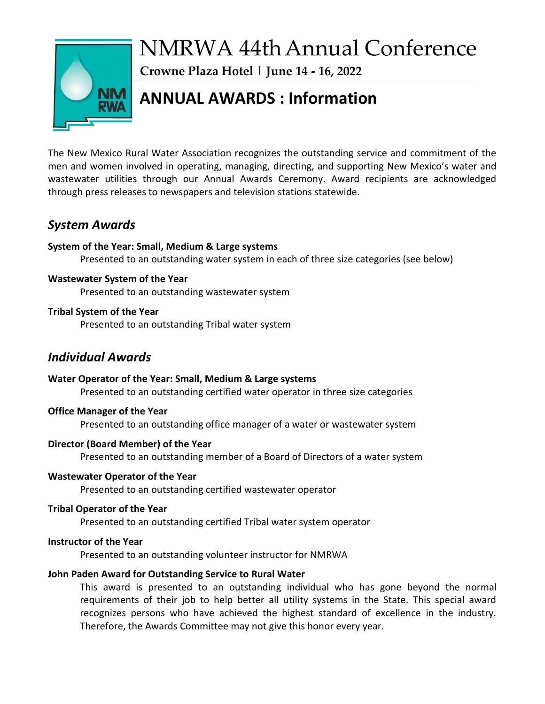

# NMRWA 44thAnnual Conference

**Crowne Plaza Hotel | June 14 - 16, 2022**

# **ANNUAL AWARDS : Information**

The New Mexico Rural Water Association recognizes the outstanding service and commitment of the men and women involved in operating, managing, directing, and supporting New Mexico's water and wastewater utilities through our Annual Awards Ceremony. Award recipients are acknowledged through press releases to newspapers and television stations statewide.

# *System Awards*

#### **System of the Year: Small, Medium & Large systems**

Presented to an outstanding water system in each of three size categories (see below)

#### **Wastewater System of the Year**

Presented to an outstanding wastewater system

#### **Tribal System of the Year**

Presented to an outstanding Tribal water system

# *Individual Awards*

**Water Operator of the Year: Small, Medium & Large systems** Presented to an outstanding certified water operator in three size categories

#### **Office Manager of the Year**

Presented to an outstanding office manager of a water or wastewater system

#### **Director (Board Member) of the Year**

Presented to an outstanding member of a Board of Directors of a water system

#### **Wastewater Operator of the Year**

Presented to an outstanding certified wastewater operator

#### **Tribal Operator of the Year**

Presented to an outstanding certified Tribal water system operator

#### **Instructor of the Year**

Presented to an outstanding volunteer instructor for NMRWA

#### **John Paden Award for Outstanding Service to Rural Water**

This award is presented to an outstanding individual who has gone beyond the normal requirements of their job to help better all utility systems in the State. This special award recognizes persons who have achieved the highest standard of excellence in the industry. Therefore, the Awards Committee may not give this honor every year.